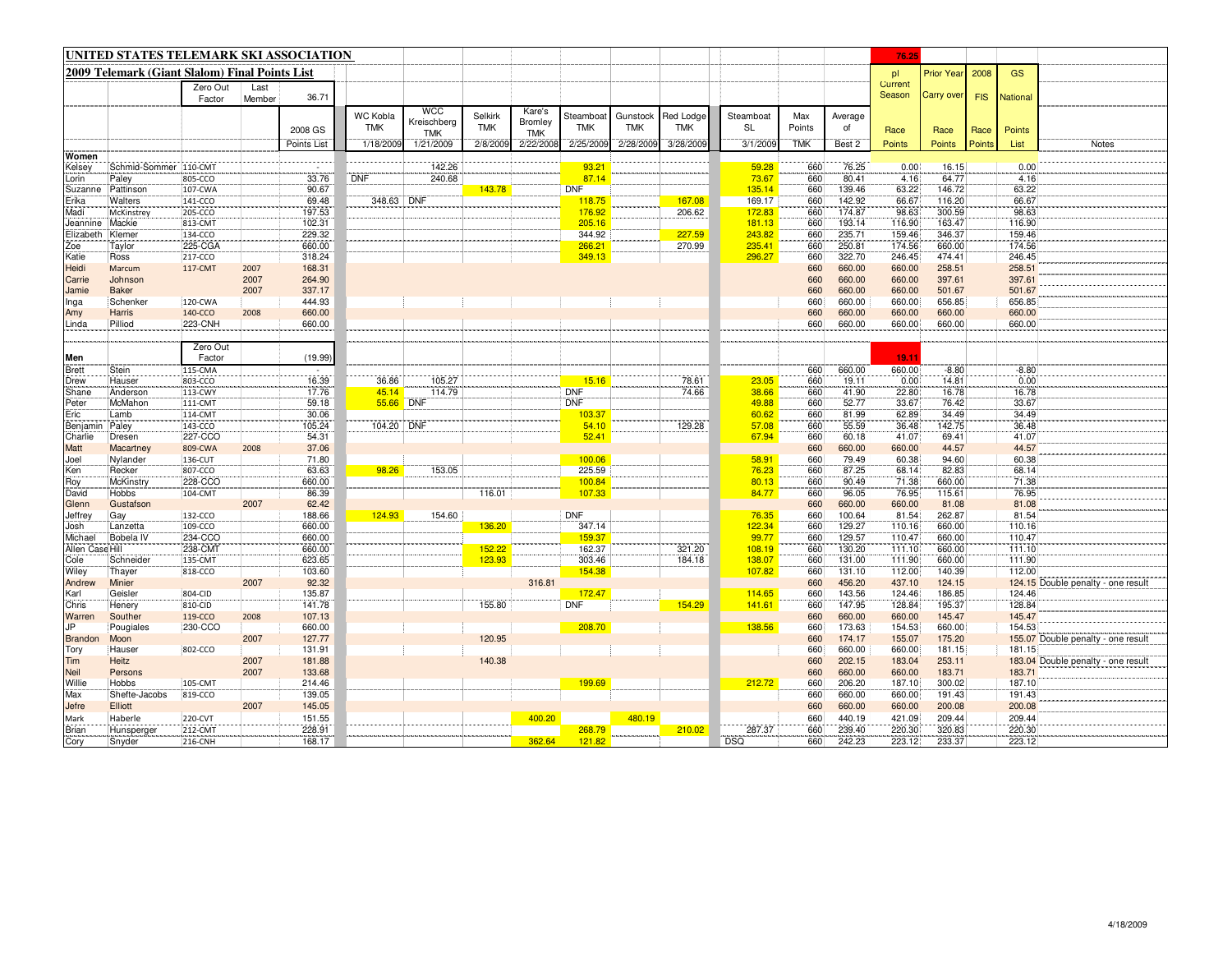|                                                | UNITED STATES TELEMARK SKI ASSOCIATION |                    |              |                    |            |                 |             |            |            |                      |            | 76.25      |            |            |                  |                  |                   |            |                  |                                    |
|------------------------------------------------|----------------------------------------|--------------------|--------------|--------------------|------------|-----------------|-------------|------------|------------|----------------------|------------|------------|------------|------------|------------------|------------------|-------------------|------------|------------------|------------------------------------|
| 2009 Telemark (Giant Slalom) Final Points List |                                        |                    |              |                    |            |                 |             |            |            |                      |            |            |            |            |                  | p                | <b>Prior Year</b> | 2008       | GS               |                                    |
|                                                |                                        | Zero Out           | Last         |                    |            |                 |             |            |            |                      |            |            |            |            |                  | Current          |                   |            |                  |                                    |
|                                                |                                        | Factor             | Member       | 36.71              |            |                 |             |            |            |                      |            |            |            |            |                  | Season           | Carry over        | <b>FIS</b> | National         |                                    |
|                                                |                                        |                    |              |                    |            | <b>WC Kobla</b> | <b>WCC</b>  | Selkirk    | Kare's     | Steamboat            | Gunstock   | Red Lodge  | Steamboat  | Max        | Average          |                  |                   |            |                  |                                    |
|                                                |                                        |                    |              | 2008 GS            |            | <b>TMK</b>      | Kreischberg | <b>TMK</b> | Bromley    | <b>TMK</b>           | <b>TMK</b> | <b>TMK</b> | <b>SL</b>  | Points     | of               | Race             | Race              | Race       | Points           |                                    |
|                                                |                                        |                    |              | <b>Points List</b> |            |                 | <b>TMK</b>  | 2/8/2009   | <b>TMK</b> |                      | 2/28/2009  |            | 3/1/2009   | <b>TMK</b> |                  |                  |                   |            |                  |                                    |
| Women                                          |                                        |                    |              |                    |            | 1/18/2009       | 1/21/2009   |            | 2/22/200   | 2/25/2009            |            | 3/28/2009  |            |            | Best 2           | <b>Points</b>    | Points            | Point:     | List             | Notes                              |
| Kelsey                                         | Schmid-Sommer 110-CMT                  |                    |              | $\sim$             |            |                 | 142.26      |            |            | 93.21                |            |            | 59.28      | 660        | 76.25            | 0.00             | 16.15             |            | 0.00             |                                    |
| Lorin                                          | Paley                                  | 805-CCO            |              | 33.76              | <b>DNF</b> |                 | 240.68      |            |            | 87.14                |            |            | 73.67      | 660        | 80.41            | 4.16             | 64.77             |            | 4.16             |                                    |
| Suzanne                                        | Pattinson                              | 107-CWA            |              | 90.67              |            |                 |             | 143.78     |            | <b>DNF</b>           |            |            | 135.14     | 660        | 139.46           | 63.22            | 146.72            |            | 63.22            |                                    |
| Erika                                          | Walters                                | 141-CCO            |              | 69.48              |            | 348.63 DNF      |             |            |            | 118.75               |            | 167.08     | 169.17     | 660        | 142.92           | 66.67            | 116.20            |            | 66.67            |                                    |
| Madi                                           | McKinstrev                             | 205-CCO            |              | 197.53             |            |                 |             |            |            | 176.92               |            | 206.62     | 172.83     | 660        | 174.87           | 98.63            | 300.59            |            | 98.63            |                                    |
| Jeannine                                       | Mackie                                 | 813-CMT            |              | 102.31             |            |                 |             |            |            | 205.16               |            |            | 181.13     | 660        | 193.14           | 116.90           | 163.47            |            | 116.90           |                                    |
| Elizabeth                                      | Klemer                                 | 134-CCO            |              | 229.32             |            |                 |             |            |            | 344.92               |            | 227.59     | 243.82     | 660        | 235.71           | 159.46           | 346.37            |            | 159.46           |                                    |
| Zoe                                            | Taylor                                 | 225-CGA            |              | 660.00             |            |                 |             |            |            | 266.21               |            | 270.99     | 235.41     | 660        | 250.81           | 174.56           | 660.00            |            | 174.56           |                                    |
| Katie<br>Heidi                                 | Ross<br>Marcum                         | 217-CCO<br>117-CMT | 2007         | 318.24<br>168.31   |            |                 |             |            |            | 349.13               |            |            | 296.27     | 660<br>660 | 322.70<br>660.00 | 246.45<br>660.00 | 474.41<br>258.51  |            | 246.45<br>258.51 |                                    |
| Carrie                                         | Johnson                                |                    | 2007         | 264.90             |            |                 |             |            |            |                      |            |            |            | 660        | 660.00           | 660.00           | 397.61            |            | 397.61           |                                    |
| Jamie                                          | <b>Baker</b>                           |                    | 2007         | 337.17             |            |                 |             |            |            |                      |            |            |            | 660        | 660.00           | 660.00           | 501.67            |            | 501.67           |                                    |
| Inga                                           | Schenker                               | 120-CWA            |              | 444.93             |            |                 |             |            |            |                      |            |            |            | 660        | 660.00           | 660.00           | 656.85            |            | 656.85           |                                    |
| Amy                                            | <b>Harris</b>                          | 140-CCO            | 2008         | 660.00             |            |                 |             |            |            |                      |            |            |            | 660        | 660.00           | 660.00           | 660.00            |            | 660.00           |                                    |
| Linda                                          | Pilliod                                | 223-CNH            |              | 660.00             |            |                 |             |            |            |                      |            |            |            | 660        | 660.00           | 660.00           | 660.00            |            | 660.00           |                                    |
|                                                |                                        |                    |              |                    |            |                 |             |            |            |                      |            |            |            |            |                  |                  |                   |            |                  |                                    |
|                                                |                                        | Zero Out           |              |                    |            |                 |             |            |            |                      |            |            |            |            |                  | 19.11            |                   |            |                  |                                    |
| Men<br><b>Brett</b>                            | Stein                                  | Factor<br>115-CMA  |              | (19.99)<br>$\sim$  |            |                 |             |            |            |                      |            |            |            | 660        | 660.00           | 660.00           | $-8.80$           |            | $-8.80$          |                                    |
| Drew                                           | Hauser                                 | 803-CCO            |              | 16.39              |            | 36.86           | 105.27      |            |            | 15.16                |            | 78.61      | 23.05      | 660        | 19.11            | 0.00             | 14.81             |            | 0.00             |                                    |
| Shane                                          | Anderson                               | 113-CWY            |              | 17.76              |            | 45.14           | 114.79      |            |            | <b>DNF</b>           |            | 74.66      | 38.66      | 660        | 41.90            | 22.80            | 16.78             |            | 16.78            |                                    |
| Peter                                          | McMahon                                | 111-CMT            |              | 59.18              |            | 55.66 DNF       |             |            |            | <b>DNF</b>           |            |            | 49.88      | 660        | 52.77            | 33.67            | 76.42             |            | 33.67            |                                    |
| Eric                                           | Lamb                                   | 114-CMT            |              | 30.06              |            |                 |             |            |            | 103.37               |            |            | 60.62      | 660        | 81.99            | 62.89            | 34.49             |            | 34.49            |                                    |
| Benjamin                                       | Paley                                  | 143-CCO            |              | 105.24             |            | 104.20   DNF    |             |            |            | 54.10                |            | 129.28     | 57.08      | 660        | 55.59            | 36.48            | 142.75            |            | 36.48            |                                    |
| Charlie                                        | Dresen                                 | 227-CCO            |              | 54.31              |            |                 |             |            |            | 52.41                |            |            | 67.94      | 660        | 60.18            | 41.07            | 69.41             |            | 41.07            |                                    |
| Matt                                           | Macartney                              | 809-CWA            | 2008         | 37.06              |            |                 |             |            |            |                      |            |            |            | 660        | 660.00           | 660.00           | 44.57             |            | 44.57            |                                    |
| Joel                                           | Nylander                               | 136-CUT            |              | 71.80              |            |                 |             |            |            | 100.06               |            |            | 58.91      | 660        | 79.49            | 60.38            | 94.60             |            | 60.38            |                                    |
| Ken                                            | Recker                                 | 807-CCO            |              | 63.63              |            | 98.26           | 153.05      |            |            | 225.59               |            |            | 76.23      | 660        | 87.25            | 68.14            | 82.83             |            | 68.14            |                                    |
| Roy                                            | <b>McKinstry</b>                       | 228-CCO            |              | 660.00             |            |                 |             |            |            | 100.84               |            |            | 80.13      | 660        | 90.49            | 71.38            | 660.00            |            | 71.38            |                                    |
| David                                          | Hobbs                                  | 104-CMT            |              | 86.39              |            |                 |             | 116.01     |            | 107.33               |            |            | 84.77      | 660        | 96.05            | 76.95            | 115.61            |            | 76.95            |                                    |
| Glenn                                          | Gustafson                              |                    | 2007         | 62.42              |            |                 |             |            |            |                      |            |            | 76.35      | 660        | 660.00           | 660.00           | 81.08             |            | 81.08            |                                    |
| Jeffrey                                        | Gay<br>Lanzetta                        | 132-CCO<br>109-CCO |              | 188.66<br>660.00   |            | 124.93          | 154.60      | 136.20     |            | <b>DNF</b><br>347.14 |            |            | 122.34     | 660<br>660 | 100.64<br>129.27 | 81.54<br>110.16  | 262.87<br>660.00  |            | 81.54<br>110.16  |                                    |
| Josh<br>Michael                                | <b>Bobela IV</b>                       | 234-CCO            |              | 660.00             |            |                 |             |            |            | 159.37               |            |            | 99.77      | 660        | 129.57           | 110.47           | 660.00            |            | 110.47           |                                    |
| Allen Case Hill                                |                                        | 238-CMT            |              | 660.00             |            |                 |             | 152.22     |            | 162.37               |            | 321.20     | 108.19     | 660        | 130.20           | 111.10           | 660.00            |            | 111.10           |                                    |
| Cole                                           | Schneider                              | 135-CMT            |              | 623.65             |            |                 |             | 123.93     |            | 303.46               |            | 184.18     | 138.07     | 660        | 131.00           | 111.90           | 660.00            |            | 111.90           |                                    |
| Wiley                                          | Thayer                                 | 818-CCO            |              | 103.60             |            |                 |             |            |            | 154.38               |            |            | 107.82     | 660        | 131.10           | 112.00           | 140.39            |            | 112.00           |                                    |
| Andrew                                         | Minier                                 |                    | 2007         | 92.32              |            |                 |             |            | 316.81     |                      |            |            |            | 660        | 456.20           | 437.10           | 124.15            |            |                  | 124.15 Double penalty - one result |
| Karl                                           | Geisler                                | 804-CID            |              | 135.87             |            |                 |             |            |            | 172.47               |            |            | 114.65     | 660        | 143.56           | 124.46           | 186.85            |            | 124.46           |                                    |
| Chris                                          | Henery                                 | 810-CID            |              | 141.78             |            |                 |             | 155.80     |            | <b>DNF</b>           |            | 154.29     | 141.61     | 660        | 147.95           | 128.84           | 195.37            |            | 128.84           |                                    |
| Warren                                         | Souther                                | 119-CCO            | 2008         | 107.13             |            |                 |             |            |            |                      |            |            |            | 660        | 660.00           | 660.00           | 145.47            |            | 145.47           |                                    |
| JP                                             | Pougiales                              | 230-CCO            |              | 660.00             |            |                 |             |            |            | 208.70               |            |            | 138.56     | 660        | 173.63           | 154.53           | 660.00            |            | 154.53           |                                    |
| <b>Brandon</b>                                 | Moon                                   |                    | 2007         | 127.77             |            |                 |             | 120.95     |            |                      |            |            |            | 660        | 174.17           | 155.07           | 175.20            |            |                  | 155.07 Double penalty - one result |
| Tory                                           | Hauser                                 | 802-CCO            |              | 131.91<br>181.88   |            |                 |             | 140.38     |            |                      |            |            |            | 660<br>660 | 660.00           | 660.00<br>183.04 | 181.15<br>253.11  |            | 181.15           | 183.04 Double penalty - one result |
| Tim<br>Neil                                    | Heitz<br>Persons                       |                    | 2007<br>2007 | 133.68             |            |                 |             |            |            |                      |            |            |            | 660        | 202.15<br>660.00 | 660.00           | 183.71            |            | 183.71           |                                    |
| Willie                                         | Hobbs                                  | 105-CMT            |              | 214.46             |            |                 |             |            |            | 199.69               |            |            | 212.72     | 660        | 206.20           | 187.10           | 300.02            |            | 187.10           |                                    |
| Max                                            | Shefte-Jacobs                          | 819-CCO            |              | 139.05             |            |                 |             |            |            |                      |            |            |            | 660        | 660.00           | 660.00           | 191.43            |            | 191.43           |                                    |
| Jefre                                          | <b>Elliott</b>                         |                    | 2007         | 145.05             |            |                 |             |            |            |                      |            |            |            | 660        | 660.00           | 660.00           | 200.08            |            | 200.08           |                                    |
| Mark                                           | Haberle                                | 220-CVT            |              | 151.55             |            |                 |             |            | 400.20     |                      | 480.19     |            |            | 660        | 440.19           | 421.09           | 209.44            |            | 209.44           |                                    |
| Brian                                          | Hunsperger                             | 212-CMT            |              | 228.91             |            |                 |             |            |            | 268.79               |            | 210.02     | 287.37     | 660        | 239.40           | 220.30           | 320.83            |            | 220.30           |                                    |
| Cory                                           | Snyder                                 | 216-CNH            |              | 168.17             |            |                 |             |            | 362.64     | 121.82               |            |            | <b>DSQ</b> | 660        | 242.23           | 223.12           | 233.37            |            | 223.12           |                                    |